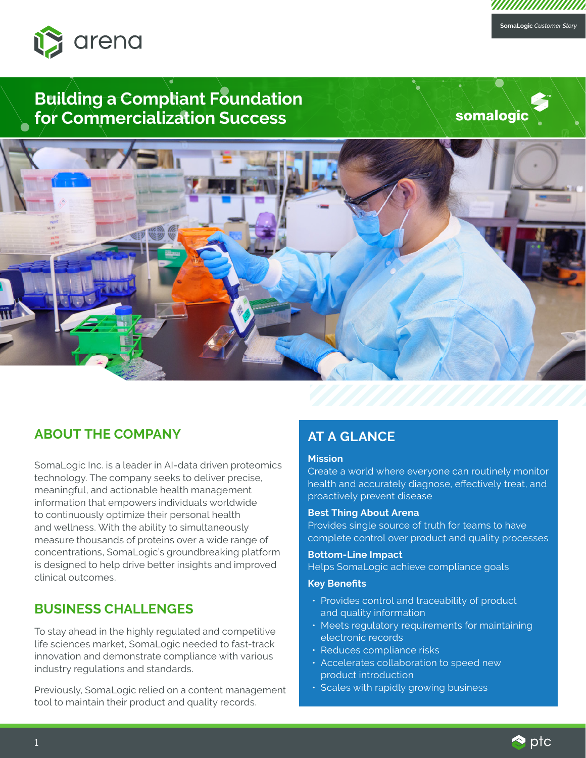

# **Building a Compliant Foundation for Commercialization Success**

somalogic

**SomaLogic** *Customer Story*

*VIIIIIIIIIIIIIIIIIIII* 



### **ABOUT THE COMPANY**

SomaLogic Inc. is a leader in AI-data driven proteomics technology. The company seeks to deliver precise, meaningful, and actionable health management information that empowers individuals worldwide to continuously optimize their personal health and wellness. With the ability to simultaneously measure thousands of proteins over a wide range of concentrations, SomaLogic's groundbreaking platform is designed to help drive better insights and improved clinical outcomes.

### **BUSINESS CHALLENGES**

To stay ahead in the highly regulated and competitive life sciences market, SomaLogic needed to fast-track innovation and demonstrate compliance with various industry regulations and standards.

Previously, SomaLogic relied on a content management tool to maintain their product and quality records.

### **AT A GLANCE**

#### **Mission**

Create a world where everyone can routinely monitor health and accurately diagnose, effectively treat, and proactively prevent disease

#### **Best Thing About Arena**

Provides single source of truth for teams to have complete control over product and quality processes

#### **Bottom-Line Impact**

Helps SomaLogic achieve compliance goals

#### **Key Benefits**

- Provides control and traceability of product and quality information
- Meets regulatory requirements for maintaining electronic records
- Reduces compliance risks
- Accelerates collaboration to speed new product introduction
- Scales with rapidly growing business

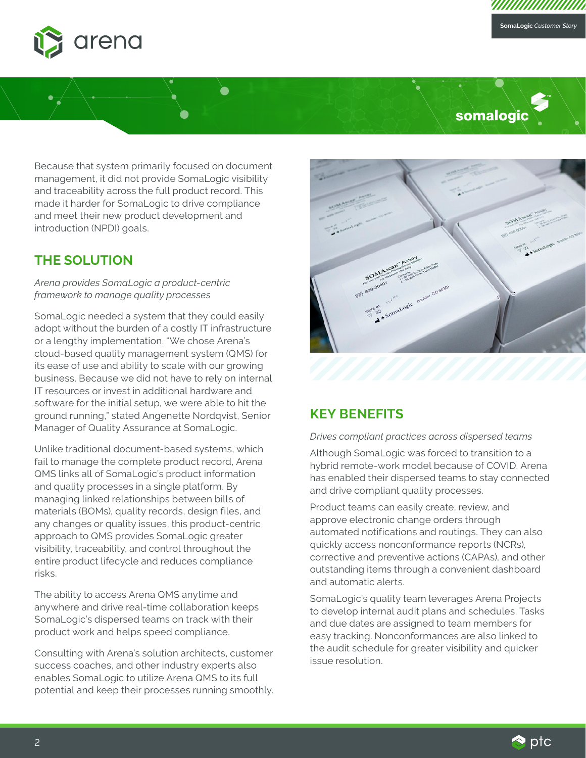

# somalogic

Because that system primarily focused on document management, it did not provide SomaLogic visibility and traceability across the full product record. This made it harder for SomaLogic to drive compliance and meet their new product development and introduction (NPDI) goals.

Ò

 $\bullet$ 

### **THE SOLUTION**

*Arena provides SomaLogic a product-centric framework to manage quality processes*

SomaLogic needed a system that they could easily adopt without the burden of a costly IT infrastructure or a lengthy implementation. "We chose Arena's cloud-based quality management system (QMS) for its ease of use and ability to scale with our growing business. Because we did not have to rely on internal IT resources or invest in additional hardware and software for the initial setup, we were able to hit the ground running," stated Angenette Nordqvist, Senior Manager of Quality Assurance at SomaLogic.

Unlike traditional document-based systems, which fail to manage the complete product record, Arena QMS links all of SomaLogic's product information and quality processes in a single platform. By managing linked relationships between bills of materials (BOMs), quality records, design files, and any changes or quality issues, this product-centric approach to QMS provides SomaLogic greater visibility, traceability, and control throughout the entire product lifecycle and reduces compliance risks.

The ability to access Arena QMS anytime and anywhere and drive real-time collaboration keeps SomaLogic's dispersed teams on track with their product work and helps speed compliance.

Consulting with Arena's solution architects, customer success coaches, and other industry experts also enables SomaLogic to utilize Arena QMS to its full potential and keep their processes running smoothly.



### **KEY BENEFITS**

#### *Drives compliant practices across dispersed teams*

Although SomaLogic was forced to transition to a hybrid remote-work model because of COVID, Arena has enabled their dispersed teams to stay connected and drive compliant quality processes.

Product teams can easily create, review, and approve electronic change orders through automated notifications and routings. They can also quickly access nonconformance reports (NCRs), corrective and preventive actions (CAPAs), and other outstanding items through a convenient dashboard and automatic alerts.

SomaLogic's quality team leverages Arena Projects to develop internal audit plans and schedules. Tasks and due dates are assigned to team members for easy tracking. Nonconformances are also linked to the audit schedule for greater visibility and quicker issue resolution.